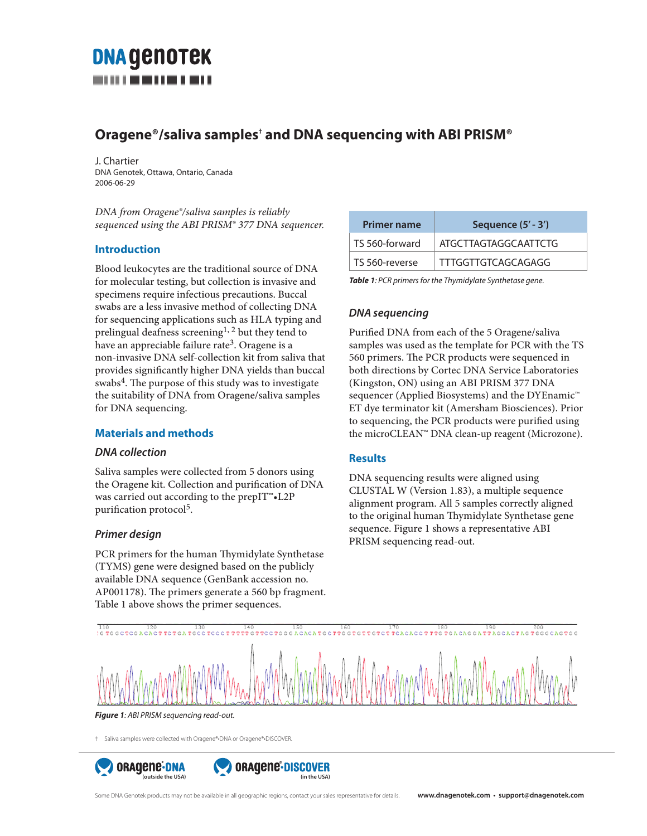# **DNA GENOTEK**

## **Oragene®/saliva samples† and DNA sequencing with ABI PRISM®**

J. Chartier DNA Genotek, Ottawa, Ontario, Canada 2006-06-29

*DNA from Oragene®/saliva samples is reliably sequenced using the ABI PRISM® 377 DNA sequencer.* 

#### **Introduction**

Blood leukocytes are the traditional source of DNA for molecular testing, but collection is invasive and specimens require infectious precautions. Buccal swabs are a less invasive method of collecting DNA for sequencing applications such as HLA typing and prelingual deafness screening<sup>1, 2</sup> but they tend to have an appreciable failure rate<sup>3</sup>. Oragene is a non-invasive DNA self-collection kit from saliva that provides significantly higher DNA yields than buccal swabs<sup>4</sup>. The purpose of this study was to investigate the suitability of DNA from Oragene/saliva samples for DNA sequencing.

#### **Materials and methods**

#### *DNA collection*

Saliva samples were collected from 5 donors using the Oragene kit. Collection and purification of DNA was carried out according to the prepIT™•L2P purification protocol<sup>5</sup>.

#### *Primer design*

PCR primers for the human Thymidylate Synthetase (TYMS) gene were designed based on the publicly available DNA sequence (GenBank accession no. AP001178). The primers generate a 560 bp fragment. Table 1 above shows the primer sequences.

| Sequence (5' - 3')          |
|-----------------------------|
| <b>ATGCTTAGTAGGCAATTCTG</b> |
| TTTGGTTGTCAGCAGAGG          |
|                             |

*Table 1: PCR primers for the Thymidylate Synthetase gene.*

### *DNA sequencing*

Purified DNA from each of the 5 Oragene/saliva samples was used as the template for PCR with the TS 560 primers. The PCR products were sequenced in both directions by Cortec DNA Service Laboratories (Kingston, ON) using an ABI PRISM 377 DNA sequencer (Applied Biosystems) and the DYEnamic™ ET dye terminator kit (Amersham Biosciences). Prior to sequencing, the PCR products were purified using the microCLEAN™ DNA clean-up reagent (Microzone).

#### **Results**

DNA sequencing results were aligned using CLUSTAL W (Version 1.83), a multiple sequence alignment program. All 5 samples correctly aligned to the original human Thymidylate Synthetase gene sequence. Figure 1 shows a representative ABI PRISM sequencing read-out.



*Figure 1: ABI PRISM sequencing read-out.*

† Saliva samples were collected with Oragene®•DNA or Oragene®•DISCOVER.